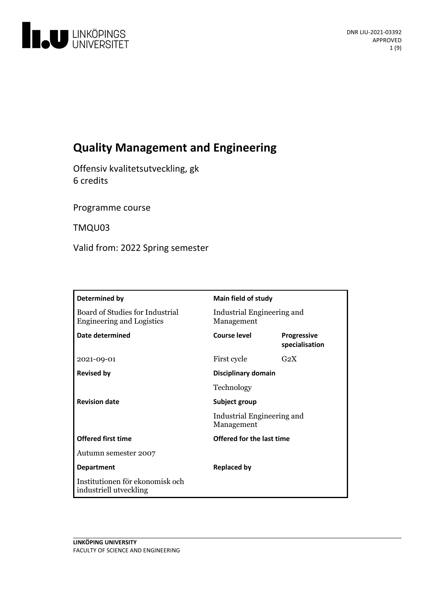

# **Quality Management and Engineering**

Offensiv kvalitetsutveckling, gk 6 credits

Programme course

TMQU03

Valid from: 2022 Spring semester

| Determined by                                                       | Main field of study                      |                                      |
|---------------------------------------------------------------------|------------------------------------------|--------------------------------------|
| Board of Studies for Industrial<br><b>Engineering and Logistics</b> | Industrial Engineering and<br>Management |                                      |
| Date determined                                                     | Course level                             | <b>Progressive</b><br>specialisation |
| 2021-09-01                                                          | First cycle                              | G <sub>2</sub> X                     |
| <b>Revised by</b>                                                   | Disciplinary domain                      |                                      |
|                                                                     | Technology                               |                                      |
| <b>Revision date</b>                                                | Subject group                            |                                      |
|                                                                     | Industrial Engineering and<br>Management |                                      |
| <b>Offered first time</b>                                           | Offered for the last time                |                                      |
| Autumn semester 2007                                                |                                          |                                      |
| <b>Department</b>                                                   | <b>Replaced by</b>                       |                                      |
| Institutionen för ekonomisk och<br>industriell utveckling           |                                          |                                      |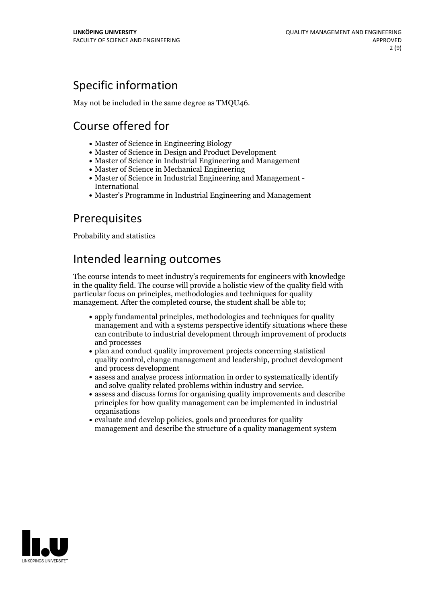## Specific information

May not be included in the same degree as TMQU46.

## Course offered for

- Master of Science in Engineering Biology
- Master of Science in Design and Product Development
- Master of Science in Industrial Engineering and Management
- Master of Science in Mechanical Engineering
- Master of Science in Industrial Engineering and Management International
- Master's Programme in Industrial Engineering and Management

## Prerequisites

Probability and statistics

## Intended learning outcomes

The course intends to meet industry's requirements for engineers with knowledge in the quality field. The course will provide a holistic view of the quality field with particular focus on principles, methodologies and techniques for quality management. After the completed course, the student shall be able to;

- apply fundamental principles, methodologies and techniques for quality management and with a systems perspective identify situations where these can contribute to industrial development through improvement of products and processes
- plan and conduct quality improvement projects concerning statistical quality control, change management and leadership, product development and process development
- assess and analyse process information in order to systematically identify
- and solve quality related problems within industry and service.<br>• assess and discuss forms for organising quality improvements and describe principles for how quality management can be implemented in industrial organisations
- evaluate and develop policies, goals and procedures for quality management and describe the structure of a quality management system

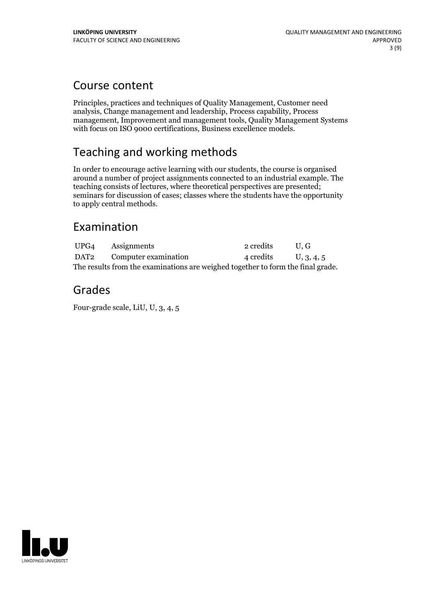## Course content

Principles, practices and techniques of Quality Management, Customer need analysis, Change management and leadership, Process capability, Process management, Improvement and management tools, Quality Management Systems with focus on ISO 9000 certifications, Business excellence models.

## Teaching and working methods

In order to encourage active learning with our students, the course is organised around a number of project assignments connected to an industrial example. The teaching consists of lectures, where theoretical perspectives are presented; seminars for discussion of cases; classes where the students have the opportunity to apply central methods.

## Examination

|                                                                                 | UPG4 Assignments                      | 2 credits            | U.G |  |
|---------------------------------------------------------------------------------|---------------------------------------|----------------------|-----|--|
|                                                                                 | DAT <sub>2</sub> Computer examination | 4 credits U, 3, 4, 5 |     |  |
| The results from the examinations are weighed together to form the final grade. |                                       |                      |     |  |

## Grades

Four-grade scale, LiU, U, 3, 4, 5

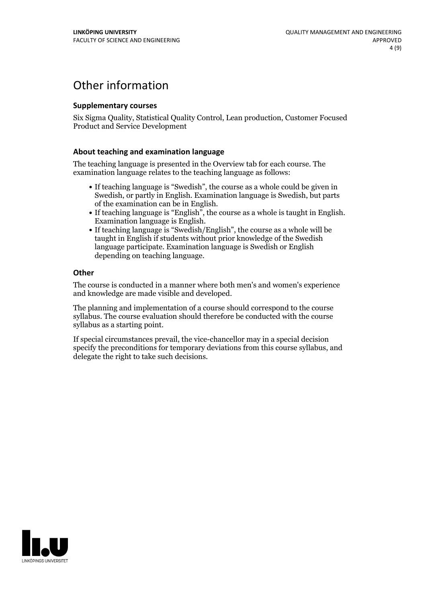## Other information

### **Supplementarycourses**

Six Sigma Quality, Statistical Quality Control, Lean production, Customer Focused Product and Service Development

### **About teaching and examination language**

The teaching language is presented in the Overview tab for each course. The examination language relates to the teaching language as follows:

- If teaching language is "Swedish", the course as a whole could be given in Swedish, or partly in English. Examination language is Swedish, but parts
- of the examination can be in English. If teaching language is "English", the course as <sup>a</sup> whole is taught in English. Examination language is English. If teaching language is "Swedish/English", the course as <sup>a</sup> whole will be
- taught in English if students without prior knowledge of the Swedish language participate. Examination language is Swedish or English depending on teaching language.

#### **Other**

The course is conducted in a manner where both men's and women's experience and knowledge are made visible and developed.

The planning and implementation of a course should correspond to the course syllabus. The course evaluation should therefore be conducted with the course syllabus as a starting point.

If special circumstances prevail, the vice-chancellor may in a special decision specify the preconditions for temporary deviations from this course syllabus, and delegate the right to take such decisions.

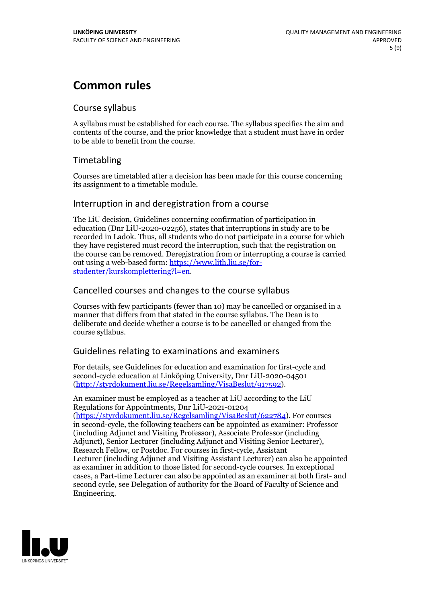## **Common rules**

### Course syllabus

A syllabus must be established for each course. The syllabus specifies the aim and contents of the course, and the prior knowledge that a student must have in order to be able to benefit from the course.

## Timetabling

Courses are timetabled after a decision has been made for this course concerning its assignment to a timetable module.

### Interruption in and deregistration from a course

The LiU decision, Guidelines concerning confirmation of participation in education (Dnr LiU-2020-02256), states that interruptions in study are to be recorded in Ladok. Thus, all students who do not participate in a course for which they have registered must record the interruption, such that the registration on the course can be removed. Deregistration from or interrupting a course is carried out using <sup>a</sup> web-based form: https://www.lith.liu.se/for- [studenter/kurskomplettering?l=en.](https://www.lith.liu.se/for-studenter/kurskomplettering?l=en)

## Cancelled coursesand changes to the course syllabus

Courses with few participants (fewer than 10) may be cancelled or organised in a manner that differs from that stated in the course syllabus. The Dean is to deliberate and decide whether a course is to be cancelled or changed from the course syllabus.

## Guidelines relating to examinations and examiners

For details, see Guidelines for education and examination for first-cycle and second-cycle education at Linköping University, Dnr LiU-2020-04501 [\(http://styrdokument.liu.se/Regelsamling/VisaBeslut/917592\)](http://styrdokument.liu.se/Regelsamling/VisaBeslut/917592).

An examiner must be employed as a teacher at LiU according to the LiU Regulations for Appointments, Dnr LiU-2021-01204 [\(https://styrdokument.liu.se/Regelsamling/VisaBeslut/622784](https://styrdokument.liu.se/Regelsamling/VisaBeslut/622784)). For courses in second-cycle, the following teachers can be appointed as examiner: Professor (including Adjunct and Visiting Professor), Associate Professor (including Adjunct), Senior Lecturer (including Adjunct and Visiting Senior Lecturer), Research Fellow, or Postdoc. For courses in first-cycle, Assistant Lecturer (including Adjunct and Visiting Assistant Lecturer) can also be appointed as examiner in addition to those listed for second-cycle courses. In exceptional cases, a Part-time Lecturer can also be appointed as an examiner at both first- and second cycle, see Delegation of authority for the Board of Faculty of Science and Engineering.

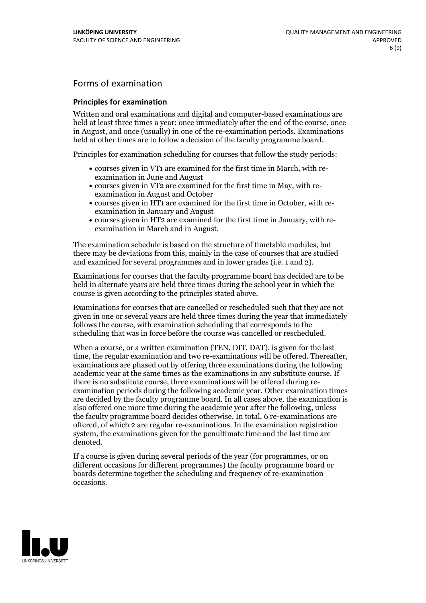## Forms of examination

#### **Principles for examination**

Written and oral examinations and digital and computer-based examinations are held at least three times a year: once immediately after the end of the course, once in August, and once (usually) in one of the re-examination periods. Examinations held at other times are to follow a decision of the faculty programme board.

Principles for examination scheduling for courses that follow the study periods:

- courses given in VT1 are examined for the first time in March, with re-examination in June and August
- courses given in VT2 are examined for the first time in May, with re-examination in August and October
- courses given in HT1 are examined for the first time in October, with re-examination in January and August
- courses given in HT2 are examined for the first time in January, with re-examination in March and in August.

The examination schedule is based on the structure of timetable modules, but there may be deviations from this, mainly in the case of courses that are studied and examined for several programmes and in lower grades (i.e. 1 and 2).

Examinations for courses that the faculty programme board has decided are to be held in alternate years are held three times during the school year in which the course is given according to the principles stated above.

Examinations for courses that are cancelled orrescheduled such that they are not given in one or several years are held three times during the year that immediately follows the course, with examination scheduling that corresponds to the scheduling that was in force before the course was cancelled or rescheduled.

When a course, or a written examination (TEN, DIT, DAT), is given for the last time, the regular examination and two re-examinations will be offered. Thereafter, examinations are phased out by offering three examinations during the following academic year at the same times as the examinations in any substitute course. If there is no substitute course, three examinations will be offered during re- examination periods during the following academic year. Other examination times are decided by the faculty programme board. In all cases above, the examination is also offered one more time during the academic year after the following, unless the faculty programme board decides otherwise. In total, 6 re-examinations are offered, of which 2 are regular re-examinations. In the examination registration system, the examinations given for the penultimate time and the last time are denoted.

If a course is given during several periods of the year (for programmes, or on different occasions for different programmes) the faculty programme board or boards determine together the scheduling and frequency of re-examination occasions.

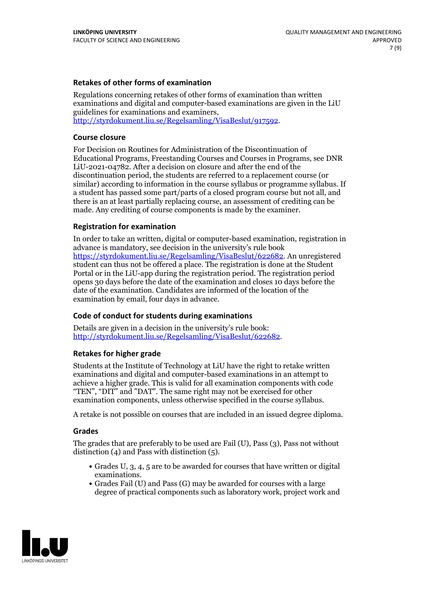### **Retakes of other forms of examination**

Regulations concerning retakes of other forms of examination than written examinations and digital and computer-based examinations are given in the LiU guidelines for examinations and examiners, [http://styrdokument.liu.se/Regelsamling/VisaBeslut/917592.](http://styrdokument.liu.se/Regelsamling/VisaBeslut/917592)

#### **Course closure**

For Decision on Routines for Administration of the Discontinuation of Educational Programs, Freestanding Courses and Courses in Programs, see DNR LiU-2021-04782. After a decision on closure and after the end of the discontinuation period, the students are referred to a replacement course (or similar) according to information in the course syllabus or programme syllabus. If a student has passed some part/parts of a closed program course but not all, and there is an at least partially replacing course, an assessment of crediting can be made. Any crediting of course components is made by the examiner.

### **Registration for examination**

In order to take an written, digital or computer-based examination, registration in advance is mandatory, see decision in the university's rule book [https://styrdokument.liu.se/Regelsamling/VisaBeslut/622682.](https://styrdokument.liu.se/Regelsamling/VisaBeslut/622682) An unregistered student can thus not be offered a place. The registration is done at the Student Portal or in the LiU-app during the registration period. The registration period opens 30 days before the date of the examination and closes 10 days before the date of the examination. Candidates are informed of the location of the examination by email, four days in advance.

### **Code of conduct for students during examinations**

Details are given in a decision in the university's rule book: <http://styrdokument.liu.se/Regelsamling/VisaBeslut/622682>.

#### **Retakes for higher grade**

Students at the Institute of Technology at LiU have the right to retake written examinations and digital and computer-based examinations in an attempt to achieve a higher grade. This is valid for all examination components with code "TEN", "DIT" and "DAT". The same right may not be exercised for other examination components, unless otherwise specified in the course syllabus.

A retake is not possible on courses that are included in an issued degree diploma.

#### **Grades**

The grades that are preferably to be used are Fail (U), Pass (3), Pass not without distinction  $(4)$  and Pass with distinction  $(5)$ .

- Grades U, 3, 4, 5 are to be awarded for courses that have written or digital examinations.<br>• Grades Fail (U) and Pass (G) may be awarded for courses with a large
- degree of practical components such as laboratory work, project work and

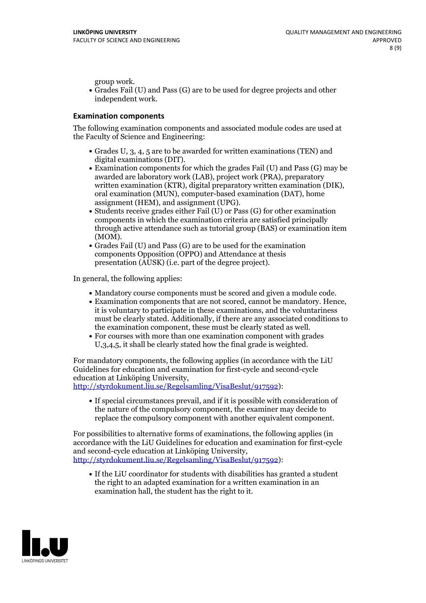group work.<br>• Grades Fail (U) and Pass (G) are to be used for degree projects and other independent work.

### **Examination components**

The following examination components and associated module codes are used at the Faculty of Science and Engineering:

- Grades U, 3, 4, 5 are to be awarded for written examinations (TEN) and
- digital examinations (DIT).<br>• Examination components for which the grades Fail (U) and Pass (G) may be awarded are laboratory work (LAB), project work (PRA), preparatory written examination (KTR), digital preparatory written examination (DIK), oral examination (MUN), computer-based examination (DAT), home
- assignment (HEM), and assignment (UPG).<br>• Students receive grades either Fail (U) or Pass (G) for other examination components in which the examination criteria are satisfied principally through active attendance such as tutorial group (BAS) or examination item
- (MOM).<br>• Grades Fail (U) and Pass (G) are to be used for the examination components Opposition (OPPO) and Attendance at thesis presentation (AUSK) (i.e. part of the degree project).

In general, the following applies:

- 
- Mandatory course components must be scored and given <sup>a</sup> module code. Examination components that are not scored, cannot be mandatory. Hence, it is voluntary to participate in these examinations, and the voluntariness must be clearly stated. Additionally, if there are any associated conditions to
- the examination component, these must be clearly stated as well.<br>• For courses with more than one examination component with grades U,3,4,5, it shall be clearly stated how the final grade is weighted.

For mandatory components, the following applies (in accordance with the LiU Guidelines for education and examination for first-cycle and second-cycle

[http://styrdokument.liu.se/Regelsamling/VisaBeslut/917592\)](http://styrdokument.liu.se/Regelsamling/VisaBeslut/917592):

If special circumstances prevail, and if it is possible with consideration of the nature of the compulsory component, the examiner may decide to replace the compulsory component with another equivalent component.

For possibilities to alternative forms of examinations, the following applies (in accordance with the LiU Guidelines for education and examination for first-cycle [http://styrdokument.liu.se/Regelsamling/VisaBeslut/917592\)](http://styrdokument.liu.se/Regelsamling/VisaBeslut/917592):

If the LiU coordinator for students with disabilities has granted a student the right to an adapted examination for a written examination in an examination hall, the student has the right to it.